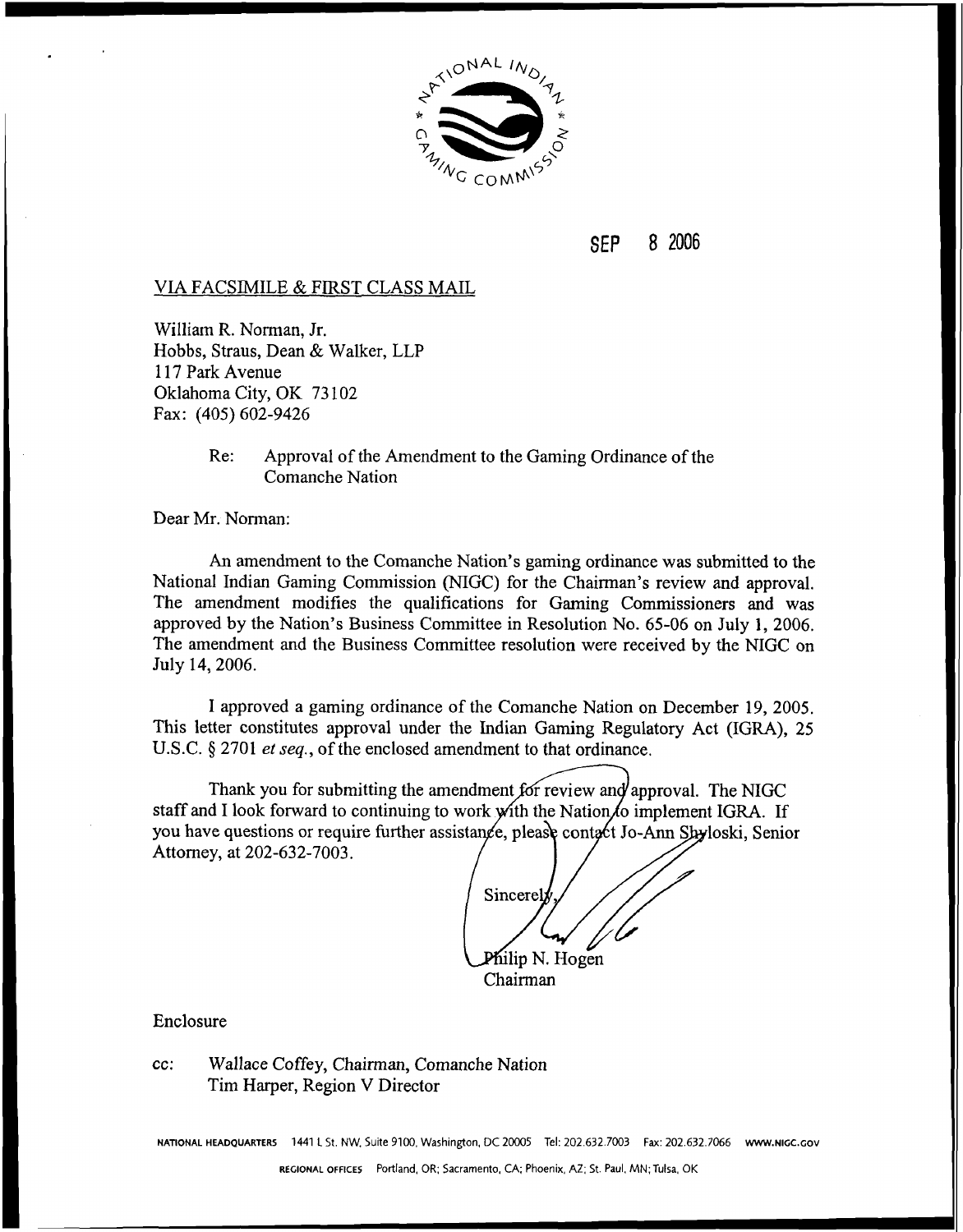

#### 8 2006 **SEP**

## **VLA** FACSIMILE & FIRST CLASS MAIL

William R. Norman, Jr. Hobbs, Straus, Dean & Walker, LLP 1 17 Park Avenue Oklahoma City, OK 73 102 Fax: (405) 602-9426

> Re: Approval of the Amendment to the Gaming Ordinance of the Comanche Nation

Dear Mr. Norman:

An amendment to the Comanche Nation's gaming ordinance was submitted to the National Indian Gaming Commission (NIGC) for the Chairman's review and approval. The amendment modifies the qualifications for Gaming Commissioners and was approved by the Nation's Business Committee in Resolution No. 65-06 on July **1,** 2006. The amendment and the Business Committee resolution were received by the NIGC on July 14,2006.

I approved a gaming ordinance of the Comanche Nation on December 19, 2005. This letter constitutes approval under the Indian Gaming Regulatory Act (IGRA), 25 U.S.C. § 2701 *et seq.*, of the enclosed amendment to that ordinance.

Thank you for submitting the amendment for review and approval. The NIGC staff and I look forward to continuing to work with the Nation to implement IGRA. If you have questions or require further assistance, please contact Jo-Ann Shyloski, Senior Attorney, at 202-632-7003.

Sincerel Milip N. Hogen

Chairman

Enclosure

cc: Wallace Coffey, Chairman, Comanche Nation Tim Harper, Region V Director

**NATIONAL HEADQUARTERS** 1441 **L** St. NW. Suite 9100. Washington, DC 20005 Tel: 202.632.7003 Fax: 202.632.7066 **www.nl~c.~ov**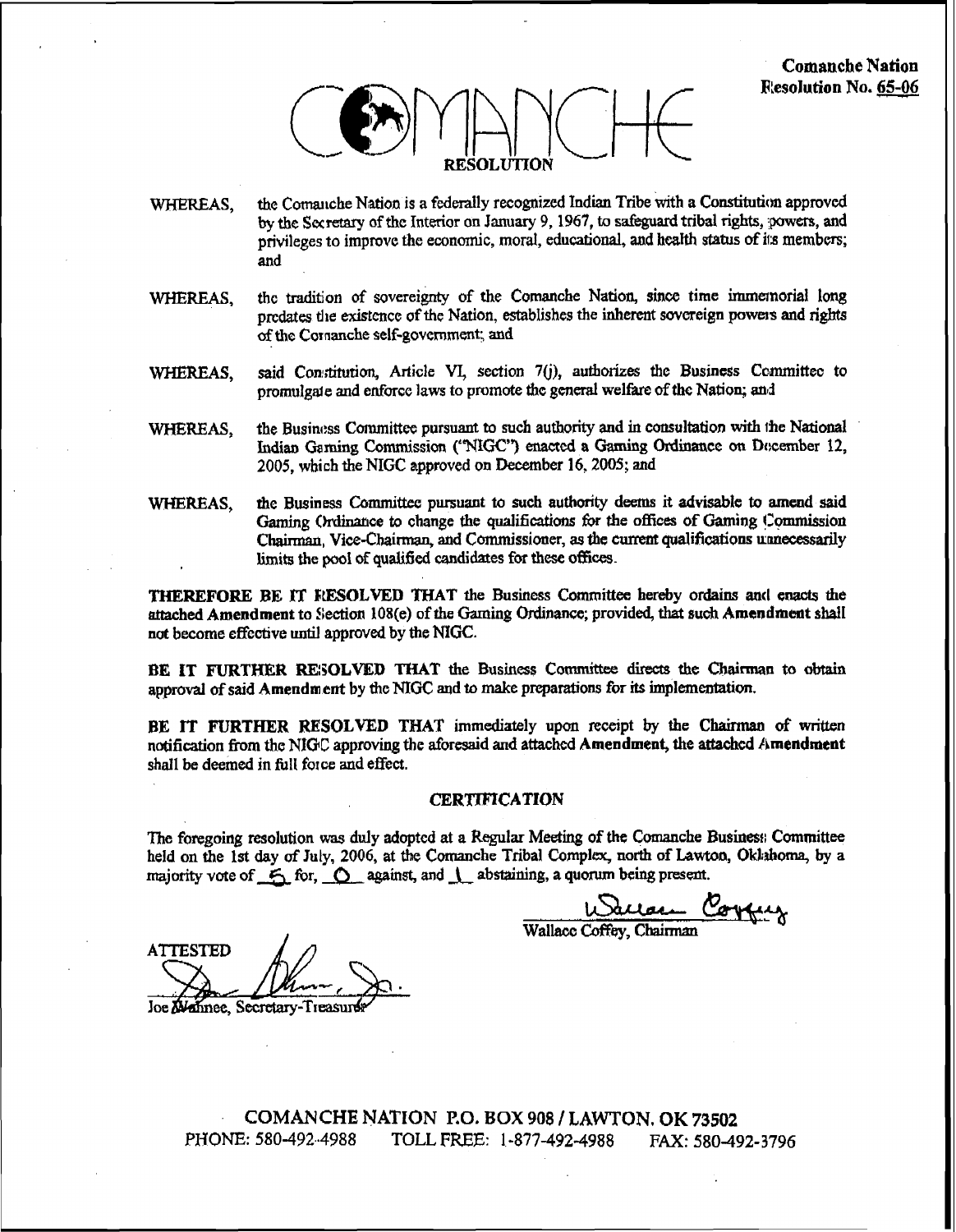

- the Comanche Nation is a federally recognized Indian Tribe with a Constitution approved WHEREAS. by the Secretary of the Interior on January 9, 1967, to safeguard tribal rights, powers, and privileges to improve the economic, moral, educational, and health status of its members: and
- the tradition of sovereignty of the Comanche Nation, since time immemorial long WHEREAS. predates the existence of the Nation, establishes the inherent sovereign powers and rights of the Comanche self-government; and
- said Constitution, Article VI, section 7(j), authorizes the Business Committee to WHEREAS. promulgate and enforce laws to promote the general welfare of the Nation; and
- the Business Committee pursuant to such authority and in consultation with the National WHEREAS. Indian Gaming Commission ("NIGC") enacted a Gaming Ordinance on December 12, 2005, which the NIGC approved on December 16, 2005; and
- the Business Committee pursuant to such authority deems it advisable to amend said WHEREAS, Gaming Ordinance to change the qualifications for the offices of Gaming Commission Chairman, Vice-Chairman, and Commissioner, as the current qualifications unnecessarily limits the pool of qualified candidates for these offices.

THEREFORE BE IT RESOLVED THAT the Business Committee hereby ordains and enacts the attached Amendment to Section 108(e) of the Gaming Ordinance; provided, that such Amendment shall not become effective until approved by the NIGC.

BE IT FURTHER RESOLVED THAT the Business Committee directs the Chairman to obtain approval of said Amendment by the NIGC and to make preparations for its implementation.

BE IT FURTHER RESOLVED THAT immediately upon receipt by the Chairman of written notification from the NIGC approving the aforesaid and attached Amendment, the attached Amendment shall be deemed in full force and effect.

#### **CERTIFICATION**

The foregoing resolution was duly adopted at a Regular Meeting of the Comanche Business Committee held on the 1st day of July, 2006, at the Comanche Tribal Complex, north of Lawton, Oklahoma, by a majority vote of 6 for, 0 against, and 1 abstaining, a quorum being present.

Wallace Coffey Chairman

**ATTESTED** 

Joe Mannee, Secretary-Treasur

COMANCHE NATION P.O. BOX 908 / LAWTON. OK 73502 PHONE: 580-492-4988 TOLL FREE: 1-877-492-4988 FAX: 580-492-3796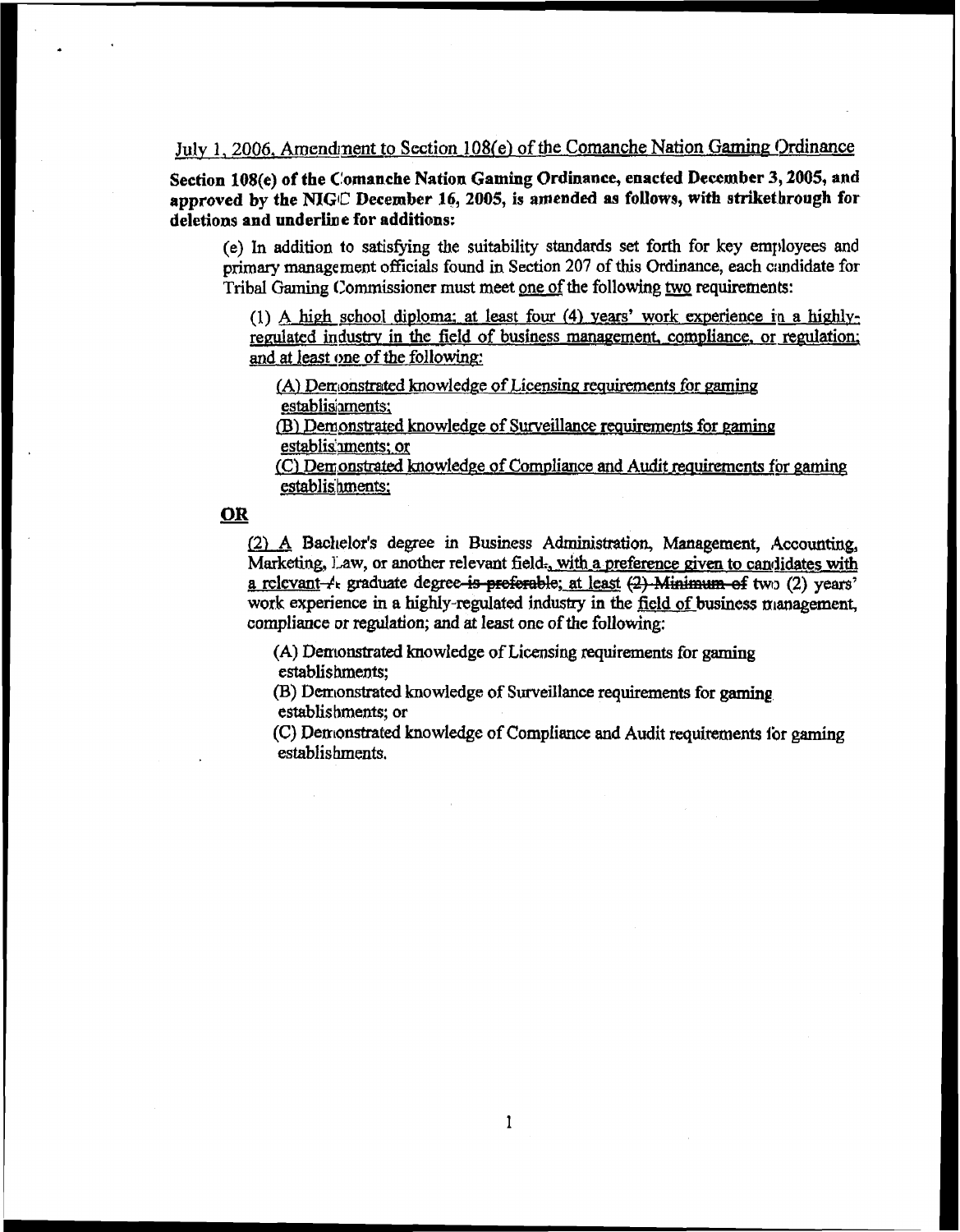# July **1,2006, Amendpent to Section\_l08(e) of the Comanche** Nation **Gaming Ordinance**

**Section 108(e) of the Clomanche Nation Gaming Ordinance, enacted Deccmber 3,2005, and**  approved by the NIGC December 16, 2005, is amended as follows, with striket brough for  $deletions and underline for additions:$ 

**(e) In addition to satisfying the suitability standards set forth for key employees and primary management ofFicials found in Section 207 of this Ordinance, each amdidate for Tribal Gaming (Zommissioner must meet one of the following two requirements:** 

(1) A high school diploma: at least four (4) years' work experience in a highlyregulated industry in the field of business management, compliance, or regulation; **and at lest one of the following** 

**(A) Derrionstrsltcd knowledge of** *Licensina* **reaukments for gaming establishments;** 

Dl. **Demonstrated knawledae of Surveillance** mhents **for mminq**  establis'nments: or

(C) Demonstrated knowledge of Compliance and Audit requirements for gaming **establishments;** 

### **OR**

**[2) A Badlelor's degree in Business** *Administration,* **Management, ,4ccoufftin.g, Marketing, Law, or another relevant field., with a preference given to candidates with** Marketing, Law, or another relevant field., with a preference given to candidates with<br>a relevant-*1*. graduate degree<del>-is preferable</del>; at least (2) Minimum of two (2) years' work experience in a highly-regulated industry in the field of business management, **compliance or regulation; and at least onc of the following:** 

**(A) Derrtonstrated knowledge of Licensing requirements for gaming establishments;** 

**(B) Derr~onstmted knowledge of Surveillance requirements for gaming establis bments; or** 

**(C) Den~onstrated knowledge of Compliance and Audit requirements for gaming establishments.**